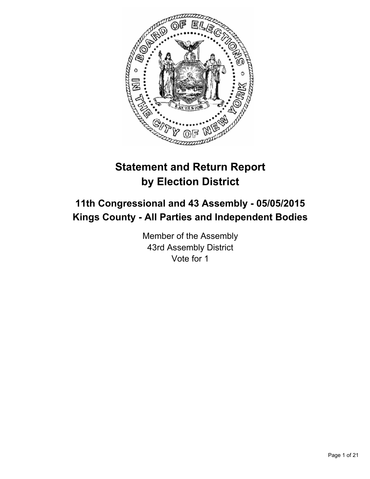

# **Statement and Return Report by Election District**

# **11th Congressional and 43 Assembly - 05/05/2015 Kings County - All Parties and Independent Bodies**

Member of the Assembly 43rd Assembly District Vote for 1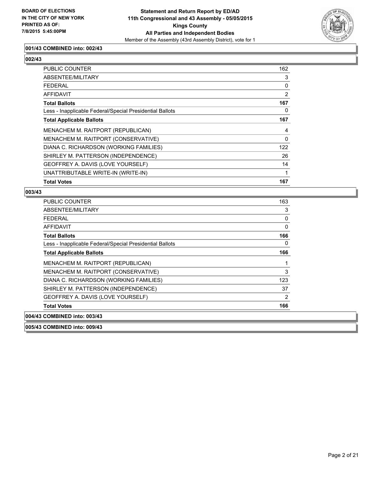

# **001/43 COMBINED into: 002/43**

# **002/43**

| PUBLIC COUNTER                                           | 162      |
|----------------------------------------------------------|----------|
| ABSENTEE/MILITARY                                        | 3        |
| <b>FEDERAL</b>                                           | 0        |
| <b>AFFIDAVIT</b>                                         | 2        |
| <b>Total Ballots</b>                                     | 167      |
| Less - Inapplicable Federal/Special Presidential Ballots | 0        |
| <b>Total Applicable Ballots</b>                          | 167      |
| MENACHEM M. RAITPORT (REPUBLICAN)                        | 4        |
| MENACHEM M. RAITPORT (CONSERVATIVE)                      | $\Omega$ |
| DIANA C. RICHARDSON (WORKING FAMILIES)                   | 122      |
| SHIRLEY M. PATTERSON (INDEPENDENCE)                      | 26       |
| GEOFFREY A. DAVIS (LOVE YOURSELF)                        | 14       |
| UNATTRIBUTABLE WRITE-IN (WRITE-IN)                       | 1        |
| <b>Total Votes</b>                                       | 167      |

# **003/43**

| PUBLIC COUNTER                                           | 163            |
|----------------------------------------------------------|----------------|
| ABSENTEE/MILITARY                                        | 3              |
| FEDERAL                                                  | 0              |
| AFFIDAVIT                                                | 0              |
| <b>Total Ballots</b>                                     | 166            |
| Less - Inapplicable Federal/Special Presidential Ballots | 0              |
| <b>Total Applicable Ballots</b>                          | 166            |
| MENACHEM M. RAITPORT (REPUBLICAN)                        | 1              |
| MENACHEM M. RAITPORT (CONSERVATIVE)                      | 3              |
| DIANA C. RICHARDSON (WORKING FAMILIES)                   | 123            |
| SHIRLEY M. PATTERSON (INDEPENDENCE)                      | 37             |
| GEOFFREY A. DAVIS (LOVE YOURSELF)                        | $\overline{2}$ |
| <b>Total Votes</b>                                       | 166            |
| 004/43 COMBINED into: 003/43                             |                |

**005/43 COMBINED into: 009/43**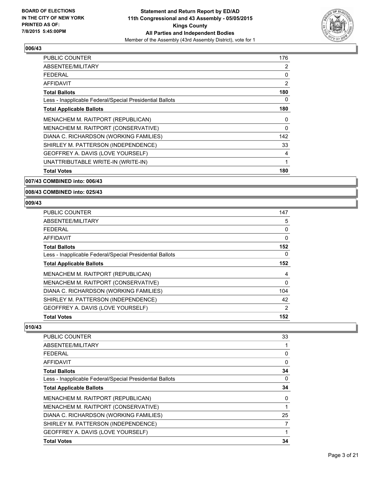

| <b>PUBLIC COUNTER</b>                                    | 176 |
|----------------------------------------------------------|-----|
| ABSENTEE/MILITARY                                        | 2   |
| <b>FEDERAL</b>                                           | 0   |
| <b>AFFIDAVIT</b>                                         | 2   |
| <b>Total Ballots</b>                                     | 180 |
| Less - Inapplicable Federal/Special Presidential Ballots | 0   |
| <b>Total Applicable Ballots</b>                          | 180 |
| MENACHEM M. RAITPORT (REPUBLICAN)                        | 0   |
| MENACHEM M. RAITPORT (CONSERVATIVE)                      | 0   |
| DIANA C. RICHARDSON (WORKING FAMILIES)                   | 142 |
| SHIRLEY M. PATTERSON (INDEPENDENCE)                      | 33  |
| GEOFFREY A. DAVIS (LOVE YOURSELF)                        | 4   |
| UNATTRIBUTABLE WRITE-IN (WRITE-IN)                       | 1   |
| <b>Total Votes</b>                                       | 180 |

#### **007/43 COMBINED into: 006/43**

#### **008/43 COMBINED into: 025/43**

# **009/43**

| DIANA C. RICHARDSON (WORKING FAMILIES)                                   | 104    |
|--------------------------------------------------------------------------|--------|
| MENACHEM M. RAITPORT (REPUBLICAN)<br>MENACHEM M. RAITPORT (CONSERVATIVE) | 4<br>0 |
| <b>Total Applicable Ballots</b>                                          | 152    |
| Less - Inapplicable Federal/Special Presidential Ballots                 | 0      |
| <b>Total Ballots</b>                                                     | 152    |
| AFFIDAVIT                                                                | 0      |
| <b>FEDERAL</b>                                                           | 0      |
| ABSENTEE/MILITARY                                                        | 5      |
| <b>PUBLIC COUNTER</b>                                                    | 147    |

| PUBLIC COUNTER                                           | 33          |
|----------------------------------------------------------|-------------|
| ABSENTEE/MILITARY                                        |             |
| FEDERAL                                                  | 0           |
| <b>AFFIDAVIT</b>                                         | $\mathbf 0$ |
| <b>Total Ballots</b>                                     | 34          |
| Less - Inapplicable Federal/Special Presidential Ballots | 0           |
| <b>Total Applicable Ballots</b>                          | 34          |
| MENACHEM M. RAITPORT (REPUBLICAN)                        | 0           |
| MENACHEM M. RAITPORT (CONSERVATIVE)                      |             |
| DIANA C. RICHARDSON (WORKING FAMILIES)                   | 25          |
| SHIRLEY M. PATTERSON (INDEPENDENCE)                      | 7           |
| GEOFFREY A. DAVIS (LOVE YOURSELF)                        |             |
| <b>Total Votes</b>                                       | 34          |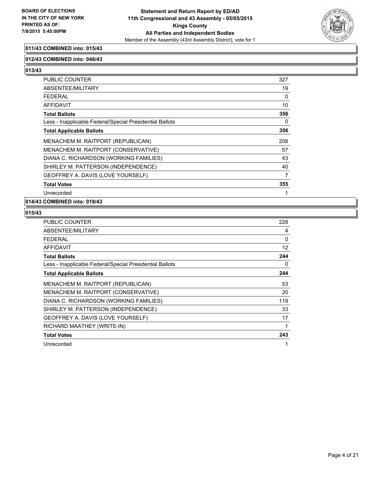

# **011/43 COMBINED into: 015/43**

#### **012/43 COMBINED into: 048/43**

**013/43** 

| <b>PUBLIC COUNTER</b>                                    | 327 |
|----------------------------------------------------------|-----|
| ABSENTEE/MILITARY                                        | 19  |
| <b>FEDERAL</b>                                           | 0   |
| AFFIDAVIT                                                | 10  |
| <b>Total Ballots</b>                                     | 356 |
| Less - Inapplicable Federal/Special Presidential Ballots | 0   |
| <b>Total Applicable Ballots</b>                          | 356 |
| MENACHEM M. RAITPORT (REPUBLICAN)                        | 208 |
| MENACHEM M. RAITPORT (CONSERVATIVE)                      | 57  |
| DIANA C. RICHARDSON (WORKING FAMILIES)                   | 43  |
| SHIRLEY M. PATTERSON (INDEPENDENCE)                      | 40  |
| GEOFFREY A. DAVIS (LOVE YOURSELF)                        | 7   |
| <b>Total Votes</b>                                       | 355 |
| Unrecorded                                               | 1   |

# **014/43 COMBINED into: 018/43**

| <b>PUBLIC COUNTER</b>                                    | 228      |
|----------------------------------------------------------|----------|
| ABSENTEE/MILITARY                                        | 4        |
| <b>FEDERAL</b>                                           | $\Omega$ |
| AFFIDAVIT                                                | 12       |
| <b>Total Ballots</b>                                     | 244      |
| Less - Inapplicable Federal/Special Presidential Ballots | 0        |
| <b>Total Applicable Ballots</b>                          | 244      |
| MENACHEM M. RAITPORT (REPUBLICAN)                        | 53       |
| MENACHEM M. RAITPORT (CONSERVATIVE)                      | 20       |
| DIANA C. RICHARDSON (WORKING FAMILIES)                   | 119      |
| SHIRLEY M. PATTERSON (INDEPENDENCE)                      | 33       |
| GEOFFREY A. DAVIS (LOVE YOURSELF)                        | 17       |
| RICHARD MAATHEY (WRITE-IN)                               | 1        |
| <b>Total Votes</b>                                       | 243      |
| Unrecorded                                               | 1        |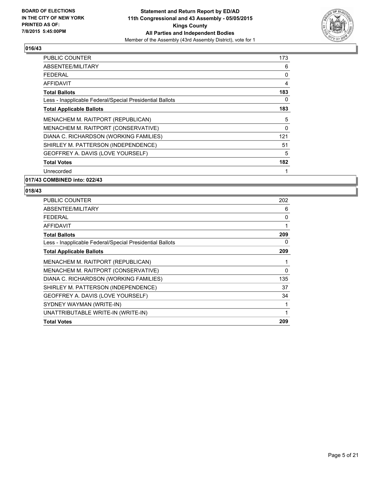

| <b>PUBLIC COUNTER</b>                                    | 173 |
|----------------------------------------------------------|-----|
| ABSENTEE/MILITARY                                        | 6   |
| <b>FEDERAL</b>                                           | 0   |
| <b>AFFIDAVIT</b>                                         | 4   |
| <b>Total Ballots</b>                                     | 183 |
| Less - Inapplicable Federal/Special Presidential Ballots | 0   |
| <b>Total Applicable Ballots</b>                          | 183 |
| MENACHEM M. RAITPORT (REPUBLICAN)                        | 5   |
| MENACHEM M. RAITPORT (CONSERVATIVE)                      | 0   |
| DIANA C. RICHARDSON (WORKING FAMILIES)                   | 121 |
| SHIRLEY M. PATTERSON (INDEPENDENCE)                      | 51  |
| GEOFFREY A. DAVIS (LOVE YOURSELF)                        | 5   |
| <b>Total Votes</b>                                       | 182 |
| Unrecorded                                               | 1   |

**017/43 COMBINED into: 022/43**

| 202 |
|-----|
| 6   |
| 0   |
| 1   |
| 209 |
| 0   |
| 209 |
| 1   |
| 0   |
| 135 |
| 37  |
| 34  |
| 1   |
| 1   |
| 209 |
|     |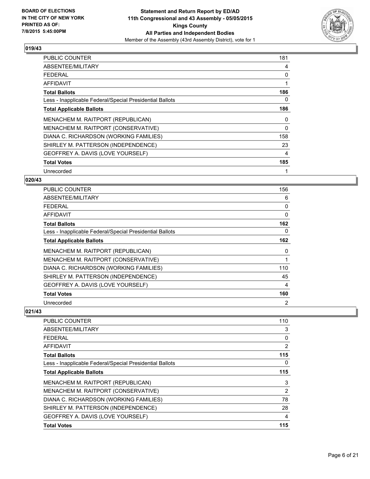

| PUBLIC COUNTER                                           | 181 |
|----------------------------------------------------------|-----|
| ABSENTEE/MILITARY                                        | 4   |
| <b>FEDERAL</b>                                           | 0   |
| <b>AFFIDAVIT</b>                                         | 1   |
| <b>Total Ballots</b>                                     | 186 |
| Less - Inapplicable Federal/Special Presidential Ballots | 0   |
| <b>Total Applicable Ballots</b>                          | 186 |
| MENACHEM M. RAITPORT (REPUBLICAN)                        | 0   |
| MENACHEM M. RAITPORT (CONSERVATIVE)                      | 0   |
| DIANA C. RICHARDSON (WORKING FAMILIES)                   | 158 |
| SHIRLEY M. PATTERSON (INDEPENDENCE)                      | 23  |
| GEOFFREY A. DAVIS (LOVE YOURSELF)                        | 4   |
| <b>Total Votes</b>                                       | 185 |
| Unrecorded                                               | 1   |

# **020/43**

| PUBLIC COUNTER                                           | 156            |
|----------------------------------------------------------|----------------|
| ABSENTEE/MILITARY                                        | 6              |
| <b>FEDERAL</b>                                           | 0              |
| AFFIDAVIT                                                | 0              |
| <b>Total Ballots</b>                                     | 162            |
| Less - Inapplicable Federal/Special Presidential Ballots | 0              |
| <b>Total Applicable Ballots</b>                          | 162            |
| MENACHEM M. RAITPORT (REPUBLICAN)                        | 0              |
| MENACHEM M. RAITPORT (CONSERVATIVE)                      | 1              |
| DIANA C. RICHARDSON (WORKING FAMILIES)                   | 110            |
| SHIRLEY M. PATTERSON (INDEPENDENCE)                      | 45             |
| GEOFFREY A. DAVIS (LOVE YOURSELF)                        | 4              |
| <b>Total Votes</b>                                       | 160            |
| Unrecorded                                               | $\overline{2}$ |

| <b>PUBLIC COUNTER</b>                                    | 110 |
|----------------------------------------------------------|-----|
| ABSENTEE/MILITARY                                        | 3   |
| <b>FEDERAL</b>                                           | 0   |
| AFFIDAVIT                                                | 2   |
| <b>Total Ballots</b>                                     | 115 |
| Less - Inapplicable Federal/Special Presidential Ballots | 0   |
| <b>Total Applicable Ballots</b>                          | 115 |
| MENACHEM M. RAITPORT (REPUBLICAN)                        | 3   |
| MENACHEM M. RAITPORT (CONSERVATIVE)                      | 2   |
| DIANA C. RICHARDSON (WORKING FAMILIES)                   | 78  |
| SHIRLEY M. PATTERSON (INDEPENDENCE)                      | 28  |
| GEOFFREY A. DAVIS (LOVE YOURSELF)                        | 4   |
| <b>Total Votes</b>                                       | 115 |
|                                                          |     |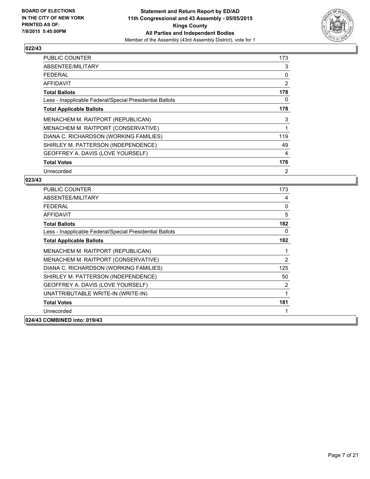

| <b>PUBLIC COUNTER</b>                                    | 173 |
|----------------------------------------------------------|-----|
| ABSENTEE/MILITARY                                        | 3   |
| <b>FEDERAL</b>                                           | 0   |
| AFFIDAVIT                                                | 2   |
| <b>Total Ballots</b>                                     | 178 |
| Less - Inapplicable Federal/Special Presidential Ballots | 0   |
| <b>Total Applicable Ballots</b>                          | 178 |
| MENACHEM M. RAITPORT (REPUBLICAN)                        | 3   |
| MENACHEM M. RAITPORT (CONSERVATIVE)                      | 1   |
| DIANA C. RICHARDSON (WORKING FAMILIES)                   | 119 |
| SHIRLEY M. PATTERSON (INDEPENDENCE)                      | 49  |
| GEOFFREY A. DAVIS (LOVE YOURSELF)                        | 4   |
| <b>Total Votes</b>                                       | 176 |
| Unrecorded                                               | 2   |

| <b>PUBLIC COUNTER</b>                                    | 173 |
|----------------------------------------------------------|-----|
| ABSENTEE/MILITARY                                        | 4   |
| <b>FEDERAL</b>                                           | 0   |
| <b>AFFIDAVIT</b>                                         | 5   |
| <b>Total Ballots</b>                                     | 182 |
| Less - Inapplicable Federal/Special Presidential Ballots | 0   |
| <b>Total Applicable Ballots</b>                          | 182 |
| MENACHEM M. RAITPORT (REPUBLICAN)                        | 1   |
| MENACHEM M. RAITPORT (CONSERVATIVE)                      | 2   |
| DIANA C. RICHARDSON (WORKING FAMILIES)                   | 125 |
| SHIRLEY M. PATTERSON (INDEPENDENCE)                      | 50  |
| GEOFFREY A. DAVIS (LOVE YOURSELF)                        | 2   |
| UNATTRIBUTABLE WRITE-IN (WRITE-IN)                       | 1   |
| <b>Total Votes</b>                                       | 181 |
| Unrecorded                                               |     |
| 024/43 COMBINED into: 019/43                             |     |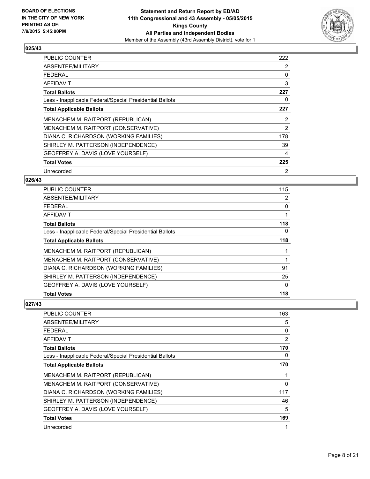

| <b>PUBLIC COUNTER</b>                                    | 222 |
|----------------------------------------------------------|-----|
| ABSENTEE/MILITARY                                        | 2   |
| <b>FEDERAL</b>                                           | 0   |
| AFFIDAVIT                                                | 3   |
| <b>Total Ballots</b>                                     | 227 |
| Less - Inapplicable Federal/Special Presidential Ballots | 0   |
| <b>Total Applicable Ballots</b>                          | 227 |
| MENACHEM M. RAITPORT (REPUBLICAN)                        | 2   |
| MENACHEM M. RAITPORT (CONSERVATIVE)                      | 2   |
| DIANA C. RICHARDSON (WORKING FAMILIES)                   | 178 |
| SHIRLEY M. PATTERSON (INDEPENDENCE)                      | 39  |
| GEOFFREY A. DAVIS (LOVE YOURSELF)                        | 4   |
| <b>Total Votes</b>                                       | 225 |
| Unrecorded                                               | 2   |

#### **026/43**

| PUBLIC COUNTER                                           | 115 |
|----------------------------------------------------------|-----|
| ABSENTEE/MILITARY                                        | 2   |
| <b>FEDERAL</b>                                           | 0   |
| AFFIDAVIT                                                |     |
| <b>Total Ballots</b>                                     | 118 |
| Less - Inapplicable Federal/Special Presidential Ballots | 0   |
| <b>Total Applicable Ballots</b>                          | 118 |
| MENACHEM M. RAITPORT (REPUBLICAN)                        |     |
| MENACHEM M. RAITPORT (CONSERVATIVE)                      |     |
| DIANA C. RICHARDSON (WORKING FAMILIES)                   | 91  |
| SHIRLEY M. PATTERSON (INDEPENDENCE)                      | 25  |
| GEOFFREY A. DAVIS (LOVE YOURSELF)                        | 0   |
| <b>Total Votes</b>                                       | 118 |

| <b>PUBLIC COUNTER</b>                                    | 163 |
|----------------------------------------------------------|-----|
| ABSENTEE/MILITARY                                        | 5   |
| FEDERAL                                                  | 0   |
| <b>AFFIDAVIT</b>                                         | 2   |
| <b>Total Ballots</b>                                     | 170 |
| Less - Inapplicable Federal/Special Presidential Ballots | 0   |
| <b>Total Applicable Ballots</b>                          | 170 |
| MENACHEM M. RAITPORT (REPUBLICAN)                        | 1   |
| MENACHEM M. RAITPORT (CONSERVATIVE)                      | 0   |
| DIANA C. RICHARDSON (WORKING FAMILIES)                   | 117 |
| SHIRLEY M. PATTERSON (INDEPENDENCE)                      | 46  |
| GEOFFREY A. DAVIS (LOVE YOURSELF)                        | 5   |
| <b>Total Votes</b>                                       | 169 |
| Unrecorded                                               | 1   |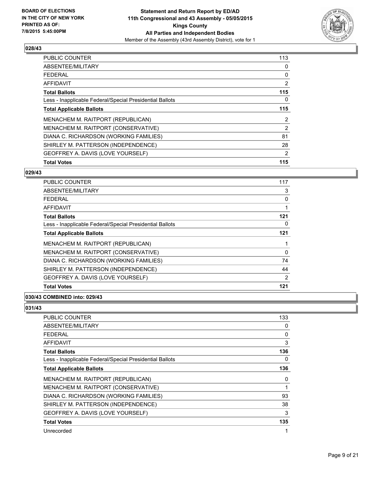

| <b>Total Votes</b>                                       | 115 |
|----------------------------------------------------------|-----|
| GEOFFREY A. DAVIS (LOVE YOURSELF)                        | 2   |
| SHIRLEY M. PATTERSON (INDEPENDENCE)                      | 28  |
| DIANA C. RICHARDSON (WORKING FAMILIES)                   | 81  |
| MENACHEM M. RAITPORT (CONSERVATIVE)                      | 2   |
| MENACHEM M. RAITPORT (REPUBLICAN)                        | 2   |
| <b>Total Applicable Ballots</b>                          | 115 |
| Less - Inapplicable Federal/Special Presidential Ballots | 0   |
| <b>Total Ballots</b>                                     | 115 |
| <b>AFFIDAVIT</b>                                         | 2   |
| <b>FEDERAL</b>                                           | 0   |
| ABSENTEE/MILITARY                                        | 0   |
| <b>PUBLIC COUNTER</b>                                    | 113 |

#### **029/43**

| PUBLIC COUNTER                                           | 117            |
|----------------------------------------------------------|----------------|
| ABSENTEE/MILITARY                                        | 3              |
| <b>FEDERAL</b>                                           | 0              |
| AFFIDAVIT                                                |                |
| <b>Total Ballots</b>                                     | 121            |
| Less - Inapplicable Federal/Special Presidential Ballots | 0              |
| <b>Total Applicable Ballots</b>                          | 121            |
| MENACHEM M. RAITPORT (REPUBLICAN)                        |                |
| MENACHEM M. RAITPORT (CONSERVATIVE)                      | 0              |
| DIANA C. RICHARDSON (WORKING FAMILIES)                   | 74             |
| SHIRLEY M. PATTERSON (INDEPENDENCE)                      | 44             |
| GEOFFREY A. DAVIS (LOVE YOURSELF)                        | $\overline{2}$ |
| <b>Total Votes</b>                                       | 121            |

# **030/43 COMBINED into: 029/43**

| PUBLIC COUNTER                                           | 133 |
|----------------------------------------------------------|-----|
| <b>ABSENTEE/MILITARY</b>                                 | 0   |
| FEDERAL                                                  | 0   |
| <b>AFFIDAVIT</b>                                         | 3   |
| <b>Total Ballots</b>                                     | 136 |
| Less - Inapplicable Federal/Special Presidential Ballots | 0   |
| <b>Total Applicable Ballots</b>                          | 136 |
| MENACHEM M. RAITPORT (REPUBLICAN)                        | 0   |
| MENACHEM M. RAITPORT (CONSERVATIVE)                      | 1   |
| DIANA C. RICHARDSON (WORKING FAMILIES)                   | 93  |
| SHIRLEY M. PATTERSON (INDEPENDENCE)                      | 38  |
| GEOFFREY A. DAVIS (LOVE YOURSELF)                        | 3   |
| <b>Total Votes</b>                                       | 135 |
| Unrecorded                                               | 1   |
|                                                          |     |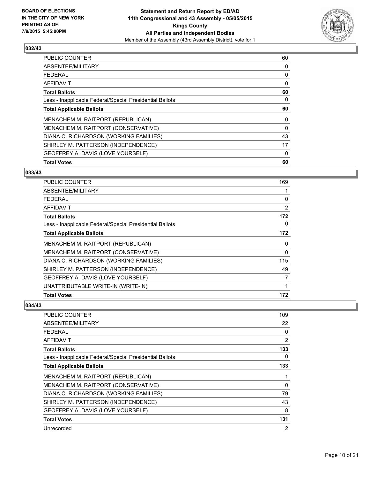

| <b>Total Votes</b>                                       | 60 |
|----------------------------------------------------------|----|
| GEOFFREY A. DAVIS (LOVE YOURSELF)                        | 0  |
| SHIRLEY M. PATTERSON (INDEPENDENCE)                      | 17 |
| DIANA C. RICHARDSON (WORKING FAMILIES)                   | 43 |
| MENACHEM M. RAITPORT (CONSERVATIVE)                      | 0  |
| MENACHEM M. RAITPORT (REPUBLICAN)                        | 0  |
| <b>Total Applicable Ballots</b>                          | 60 |
| Less - Inapplicable Federal/Special Presidential Ballots | 0  |
| <b>Total Ballots</b>                                     | 60 |
| AFFIDAVIT                                                | 0  |
| <b>FEDERAL</b>                                           | 0  |
| ABSENTEE/MILITARY                                        | 0  |
| PUBLIC COUNTER                                           | 60 |

# **033/43**

| PUBLIC COUNTER                                           | 169 |
|----------------------------------------------------------|-----|
| ABSENTEE/MILITARY                                        |     |
| <b>FEDERAL</b>                                           | 0   |
| AFFIDAVIT                                                | 2   |
| <b>Total Ballots</b>                                     | 172 |
| Less - Inapplicable Federal/Special Presidential Ballots | 0   |
| <b>Total Applicable Ballots</b>                          | 172 |
| MENACHEM M. RAITPORT (REPUBLICAN)                        | 0   |
| MENACHEM M. RAITPORT (CONSERVATIVE)                      | 0   |
| DIANA C. RICHARDSON (WORKING FAMILIES)                   | 115 |
| SHIRLEY M. PATTERSON (INDEPENDENCE)                      | 49  |
| GEOFFREY A. DAVIS (LOVE YOURSELF)                        | 7   |
| UNATTRIBUTABLE WRITE-IN (WRITE-IN)                       | 1   |
| <b>Total Votes</b>                                       | 172 |

| <b>PUBLIC COUNTER</b>                                    | 109 |
|----------------------------------------------------------|-----|
| ABSENTEE/MILITARY                                        | 22  |
| <b>FEDERAL</b>                                           | 0   |
| <b>AFFIDAVIT</b>                                         | 2   |
| <b>Total Ballots</b>                                     | 133 |
| Less - Inapplicable Federal/Special Presidential Ballots | 0   |
| <b>Total Applicable Ballots</b>                          | 133 |
| MENACHEM M. RAITPORT (REPUBLICAN)                        | 1   |
| MENACHEM M. RAITPORT (CONSERVATIVE)                      | 0   |
| DIANA C. RICHARDSON (WORKING FAMILIES)                   | 79  |
| SHIRLEY M. PATTERSON (INDEPENDENCE)                      | 43  |
| GEOFFREY A. DAVIS (LOVE YOURSELF)                        | 8   |
| <b>Total Votes</b>                                       | 131 |
| Unrecorded                                               | 2   |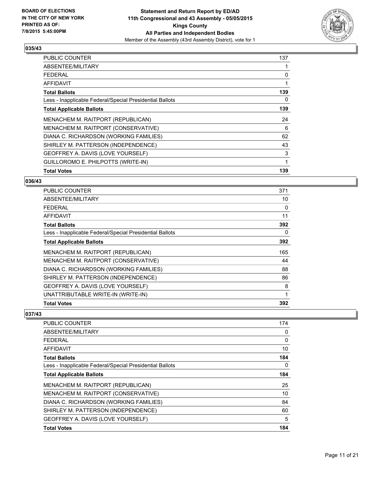

| <b>PUBLIC COUNTER</b>                                    | 137 |
|----------------------------------------------------------|-----|
| ABSENTEE/MILITARY                                        |     |
| <b>FEDERAL</b>                                           | 0   |
| AFFIDAVIT                                                | 1   |
| <b>Total Ballots</b>                                     | 139 |
| Less - Inapplicable Federal/Special Presidential Ballots | 0   |
| <b>Total Applicable Ballots</b>                          | 139 |
| MENACHEM M. RAITPORT (REPUBLICAN)                        | 24  |
| MENACHEM M. RAITPORT (CONSERVATIVE)                      | 6   |
| DIANA C. RICHARDSON (WORKING FAMILIES)                   | 62  |
| SHIRLEY M. PATTERSON (INDEPENDENCE)                      | 43  |
| GEOFFREY A. DAVIS (LOVE YOURSELF)                        | 3   |
| GUILLOROMO E. PHILPOTTS (WRITE-IN)                       | 1   |
| <b>Total Votes</b>                                       | 139 |

#### **036/43**

| <b>PUBLIC COUNTER</b>                                    | 371 |
|----------------------------------------------------------|-----|
| ABSENTEE/MILITARY                                        | 10  |
| <b>FEDERAL</b>                                           | 0   |
| <b>AFFIDAVIT</b>                                         | 11  |
| <b>Total Ballots</b>                                     | 392 |
| Less - Inapplicable Federal/Special Presidential Ballots | 0   |
| <b>Total Applicable Ballots</b>                          | 392 |
| MENACHEM M. RAITPORT (REPUBLICAN)                        | 165 |
| MENACHEM M. RAITPORT (CONSERVATIVE)                      | 44  |
| DIANA C. RICHARDSON (WORKING FAMILIES)                   | 88  |
| SHIRLEY M. PATTERSON (INDEPENDENCE)                      | 86  |
| GEOFFREY A. DAVIS (LOVE YOURSELF)                        | 8   |
| UNATTRIBUTABLE WRITE-IN (WRITE-IN)                       | 1   |
| <b>Total Votes</b>                                       | 392 |

| <b>PUBLIC COUNTER</b>                                    | 174      |
|----------------------------------------------------------|----------|
| ABSENTEE/MILITARY                                        | 0        |
| <b>FEDERAL</b>                                           | 0        |
| AFFIDAVIT                                                | 10       |
| <b>Total Ballots</b>                                     | 184      |
| Less - Inapplicable Federal/Special Presidential Ballots | $\Omega$ |
| <b>Total Applicable Ballots</b>                          | 184      |
| MENACHEM M. RAITPORT (REPUBLICAN)                        | 25       |
| MENACHEM M. RAITPORT (CONSERVATIVE)                      | 10       |
| DIANA C. RICHARDSON (WORKING FAMILIES)                   | 84       |
| SHIRLEY M. PATTERSON (INDEPENDENCE)                      | 60       |
| GEOFFREY A. DAVIS (LOVE YOURSELF)                        | 5        |
| <b>Total Votes</b>                                       | 184      |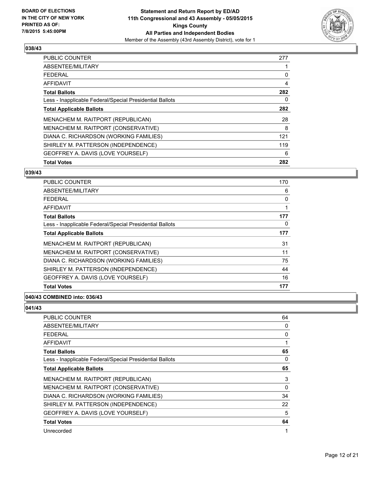

| <b>Total Votes</b>                                       | 282 |
|----------------------------------------------------------|-----|
| GEOFFREY A. DAVIS (LOVE YOURSELF)                        | 6   |
| SHIRLEY M. PATTERSON (INDEPENDENCE)                      | 119 |
| DIANA C. RICHARDSON (WORKING FAMILIES)                   | 121 |
| MENACHEM M. RAITPORT (CONSERVATIVE)                      | 8   |
| MENACHEM M. RAITPORT (REPUBLICAN)                        | 28  |
| <b>Total Applicable Ballots</b>                          | 282 |
| Less - Inapplicable Federal/Special Presidential Ballots | 0   |
| <b>Total Ballots</b>                                     | 282 |
| AFFIDAVIT                                                | 4   |
| <b>FEDERAL</b>                                           | 0   |
| ABSENTEE/MILITARY                                        |     |
| PUBLIC COUNTER                                           | 277 |

#### **039/43**

| PUBLIC COUNTER                                           | 170 |
|----------------------------------------------------------|-----|
| ABSENTEE/MILITARY                                        | 6   |
| <b>FEDERAL</b>                                           | 0   |
| AFFIDAVIT                                                | 1   |
| <b>Total Ballots</b>                                     | 177 |
| Less - Inapplicable Federal/Special Presidential Ballots | 0   |
| <b>Total Applicable Ballots</b>                          | 177 |
| MENACHEM M. RAITPORT (REPUBLICAN)                        | 31  |
| MENACHEM M. RAITPORT (CONSERVATIVE)                      | 11  |
| DIANA C. RICHARDSON (WORKING FAMILIES)                   | 75  |
| SHIRLEY M. PATTERSON (INDEPENDENCE)                      | 44  |
| GEOFFREY A. DAVIS (LOVE YOURSELF)                        | 16  |
| <b>Total Votes</b>                                       | 177 |

# **040/43 COMBINED into: 036/43**

| PUBLIC COUNTER                                           | 64 |
|----------------------------------------------------------|----|
| ABSENTEE/MILITARY                                        | 0  |
| <b>FEDERAL</b>                                           | 0  |
| <b>AFFIDAVIT</b>                                         | 1  |
| <b>Total Ballots</b>                                     | 65 |
| Less - Inapplicable Federal/Special Presidential Ballots | 0  |
| <b>Total Applicable Ballots</b>                          | 65 |
| MENACHEM M. RAITPORT (REPUBLICAN)                        | 3  |
| MENACHEM M. RAITPORT (CONSERVATIVE)                      | 0  |
| DIANA C. RICHARDSON (WORKING FAMILIES)                   | 34 |
| SHIRLEY M. PATTERSON (INDEPENDENCE)                      | 22 |
| GEOFFREY A. DAVIS (LOVE YOURSELF)                        | 5  |
| <b>Total Votes</b>                                       | 64 |
| Unrecorded                                               | 1  |
|                                                          |    |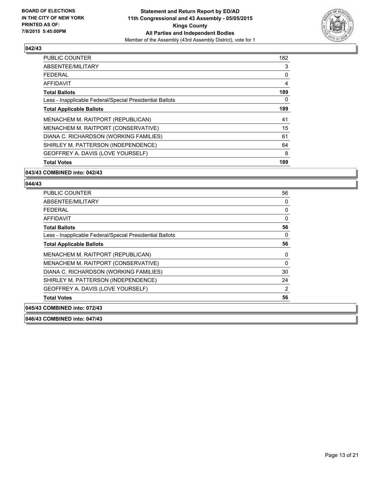

| <b>Total Votes</b>                                       | 189 |
|----------------------------------------------------------|-----|
| GEOFFREY A. DAVIS (LOVE YOURSELF)                        | 8   |
| SHIRLEY M. PATTERSON (INDEPENDENCE)                      | 64  |
| DIANA C. RICHARDSON (WORKING FAMILIES)                   | 61  |
| MENACHEM M. RAITPORT (CONSERVATIVE)                      | 15  |
| MENACHEM M. RAITPORT (REPUBLICAN)                        | 41  |
| <b>Total Applicable Ballots</b>                          | 189 |
| Less - Inapplicable Federal/Special Presidential Ballots | 0   |
| <b>Total Ballots</b>                                     | 189 |
| AFFIDAVIT                                                | 4   |
| <b>FEDERAL</b>                                           | 0   |
| ABSENTEE/MILITARY                                        | 3   |
| PUBLIC COUNTER                                           | 182 |

# **043/43 COMBINED into: 042/43**

# **044/43**

| <b>PUBLIC COUNTER</b>                                    | 56 |
|----------------------------------------------------------|----|
| ABSENTEE/MILITARY                                        | 0  |
| <b>FEDERAL</b>                                           | 0  |
| <b>AFFIDAVIT</b>                                         | 0  |
| <b>Total Ballots</b>                                     | 56 |
| Less - Inapplicable Federal/Special Presidential Ballots | 0  |
| <b>Total Applicable Ballots</b>                          | 56 |
| MENACHEM M. RAITPORT (REPUBLICAN)                        | 0  |
| MENACHEM M. RAITPORT (CONSERVATIVE)                      | 0  |
| DIANA C. RICHARDSON (WORKING FAMILIES)                   | 30 |
| SHIRLEY M. PATTERSON (INDEPENDENCE)                      | 24 |
| GEOFFREY A. DAVIS (LOVE YOURSELF)                        | 2  |
| <b>Total Votes</b>                                       | 56 |
| 045/43 COMBINED into: 072/43                             |    |

**046/43 COMBINED into: 047/43**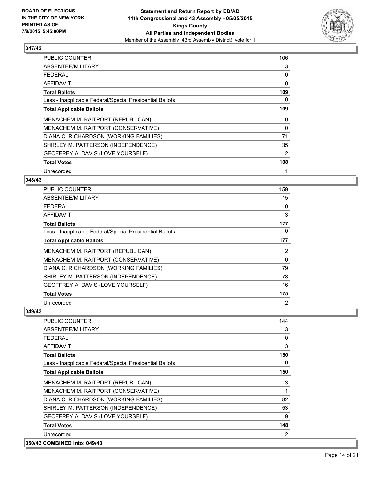

| <b>PUBLIC COUNTER</b>                                    | 106      |
|----------------------------------------------------------|----------|
| ABSENTEE/MILITARY                                        | 3        |
| <b>FEDERAL</b>                                           | 0        |
| AFFIDAVIT                                                | 0        |
| <b>Total Ballots</b>                                     | 109      |
| Less - Inapplicable Federal/Special Presidential Ballots | 0        |
| <b>Total Applicable Ballots</b>                          | 109      |
| MENACHEM M. RAITPORT (REPUBLICAN)                        | 0        |
| MENACHEM M. RAITPORT (CONSERVATIVE)                      | $\Omega$ |
| DIANA C. RICHARDSON (WORKING FAMILIES)                   | 71       |
| SHIRLEY M. PATTERSON (INDEPENDENCE)                      | 35       |
| GEOFFREY A. DAVIS (LOVE YOURSELF)                        | 2        |
| <b>Total Votes</b>                                       | 108      |
| Unrecorded                                               | 1        |

#### **048/43**

| <b>PUBLIC COUNTER</b>                                    | 159 |
|----------------------------------------------------------|-----|
| ABSENTEE/MILITARY                                        | 15  |
| <b>FEDERAL</b>                                           | 0   |
| <b>AFFIDAVIT</b>                                         | 3   |
| <b>Total Ballots</b>                                     | 177 |
| Less - Inapplicable Federal/Special Presidential Ballots | 0   |
| <b>Total Applicable Ballots</b>                          | 177 |
| MENACHEM M. RAITPORT (REPUBLICAN)                        | 2   |
| MENACHEM M. RAITPORT (CONSERVATIVE)                      | 0   |
| DIANA C. RICHARDSON (WORKING FAMILIES)                   | 79  |
| SHIRLEY M. PATTERSON (INDEPENDENCE)                      | 78  |
| GEOFFREY A. DAVIS (LOVE YOURSELF)                        | 16  |
| <b>Total Votes</b>                                       | 175 |
| Unrecorded                                               | 2   |

| <b>PUBLIC COUNTER</b>                                    | 144          |
|----------------------------------------------------------|--------------|
| ABSENTEE/MILITARY                                        | 3            |
| <b>FEDERAL</b>                                           | $\mathbf{0}$ |
| AFFIDAVIT                                                | 3            |
| <b>Total Ballots</b>                                     | 150          |
| Less - Inapplicable Federal/Special Presidential Ballots | 0            |
| <b>Total Applicable Ballots</b>                          | 150          |
| MENACHEM M. RAITPORT (REPUBLICAN)                        | 3            |
| MENACHEM M. RAITPORT (CONSERVATIVE)                      |              |
| DIANA C. RICHARDSON (WORKING FAMILIES)                   | 82           |
| SHIRLEY M. PATTERSON (INDEPENDENCE)                      | 53           |
| GEOFFREY A. DAVIS (LOVE YOURSELF)                        | 9            |
| <b>Total Votes</b>                                       | 148          |
| Unrecorded                                               | 2            |
| 050/43 COMBINED into: 049/43                             |              |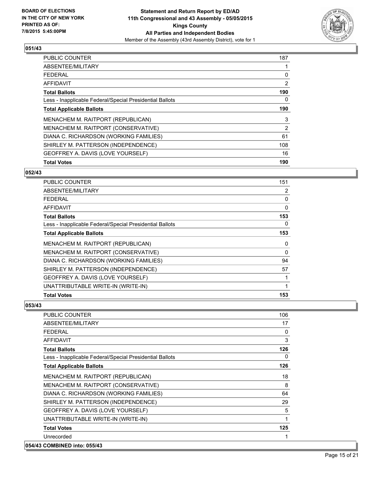

| <b>PUBLIC COUNTER</b>                                    | 187            |
|----------------------------------------------------------|----------------|
| ABSENTEE/MILITARY                                        |                |
| <b>FEDERAL</b>                                           | 0              |
| AFFIDAVIT                                                | $\overline{2}$ |
| <b>Total Ballots</b>                                     | 190            |
| Less - Inapplicable Federal/Special Presidential Ballots | 0              |
| <b>Total Applicable Ballots</b>                          | 190            |
| MENACHEM M. RAITPORT (REPUBLICAN)                        | 3              |
| MENACHEM M. RAITPORT (CONSERVATIVE)                      | 2              |
| DIANA C. RICHARDSON (WORKING FAMILIES)                   | 61             |
| SHIRLEY M. PATTERSON (INDEPENDENCE)                      | 108            |
| GEOFFREY A. DAVIS (LOVE YOURSELF)                        | 16             |
| <b>Total Votes</b>                                       | 190            |

#### **052/43**

| PUBLIC COUNTER                                           | 151      |
|----------------------------------------------------------|----------|
| ABSENTEE/MILITARY                                        | 2        |
| <b>FEDERAL</b>                                           | 0        |
| AFFIDAVIT                                                | $\Omega$ |
| <b>Total Ballots</b>                                     | 153      |
| Less - Inapplicable Federal/Special Presidential Ballots | 0        |
| <b>Total Applicable Ballots</b>                          | 153      |
| MENACHEM M. RAITPORT (REPUBLICAN)                        | 0        |
| MENACHEM M. RAITPORT (CONSERVATIVE)                      | 0        |
| DIANA C. RICHARDSON (WORKING FAMILIES)                   | 94       |
| SHIRLEY M. PATTERSON (INDEPENDENCE)                      | 57       |
| GEOFFREY A. DAVIS (LOVE YOURSELF)                        |          |
| UNATTRIBUTABLE WRITE-IN (WRITE-IN)                       |          |
| <b>Total Votes</b>                                       | 153      |

#### **053/43**

| <b>PUBLIC COUNTER</b>                                    | 106 |
|----------------------------------------------------------|-----|
| ABSENTEE/MILITARY                                        | 17  |
| <b>FEDERAL</b>                                           | 0   |
| <b>AFFIDAVIT</b>                                         | 3   |
| <b>Total Ballots</b>                                     | 126 |
| Less - Inapplicable Federal/Special Presidential Ballots | 0   |
| <b>Total Applicable Ballots</b>                          | 126 |
| MENACHEM M. RAITPORT (REPUBLICAN)                        | 18  |
| MENACHEM M. RAITPORT (CONSERVATIVE)                      | 8   |
| DIANA C. RICHARDSON (WORKING FAMILIES)                   | 64  |
| SHIRLEY M. PATTERSON (INDEPENDENCE)                      | 29  |
| GEOFFREY A. DAVIS (LOVE YOURSELF)                        | 5   |
| UNATTRIBUTABLE WRITE-IN (WRITE-IN)                       | 1   |
| <b>Total Votes</b>                                       | 125 |
| Unrecorded                                               | 1   |
| COMPINED into: 055/42                                    |     |

# **054/43 COMBINED into: 055/43**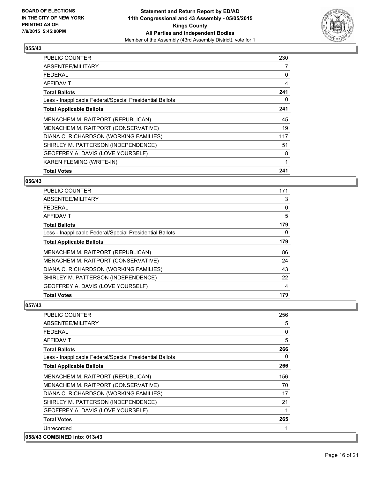

| <b>PUBLIC COUNTER</b>                                    | 230 |
|----------------------------------------------------------|-----|
| ABSENTEE/MILITARY                                        | 7   |
| <b>FEDERAL</b>                                           | 0   |
| AFFIDAVIT                                                | 4   |
| <b>Total Ballots</b>                                     | 241 |
| Less - Inapplicable Federal/Special Presidential Ballots | 0   |
| <b>Total Applicable Ballots</b>                          | 241 |
| MENACHEM M. RAITPORT (REPUBLICAN)                        | 45  |
| MENACHEM M. RAITPORT (CONSERVATIVE)                      | 19  |
| DIANA C. RICHARDSON (WORKING FAMILIES)                   | 117 |
| SHIRLEY M. PATTERSON (INDEPENDENCE)                      | 51  |
| GEOFFREY A. DAVIS (LOVE YOURSELF)                        | 8   |
| <b>KAREN FLEMING (WRITE-IN)</b>                          | 1   |
| <b>Total Votes</b>                                       | 241 |

#### **056/43**

| PUBLIC COUNTER                                           | 171 |
|----------------------------------------------------------|-----|
| ABSENTEE/MILITARY                                        | 3   |
| <b>FEDERAL</b>                                           | 0   |
| AFFIDAVIT                                                | 5   |
| <b>Total Ballots</b>                                     | 179 |
| Less - Inapplicable Federal/Special Presidential Ballots | 0   |
| <b>Total Applicable Ballots</b>                          | 179 |
| MENACHEM M. RAITPORT (REPUBLICAN)                        | 86  |
| MENACHEM M. RAITPORT (CONSERVATIVE)                      | 24  |
| DIANA C. RICHARDSON (WORKING FAMILIES)                   | 43  |
| SHIRLEY M. PATTERSON (INDEPENDENCE)                      | 22  |
| GEOFFREY A. DAVIS (LOVE YOURSELF)                        | 4   |
| <b>Total Votes</b>                                       | 179 |

| <b>PUBLIC COUNTER</b>                                    | 256 |
|----------------------------------------------------------|-----|
| ABSENTEE/MILITARY                                        | 5   |
| <b>FEDERAL</b>                                           | 0   |
| <b>AFFIDAVIT</b>                                         | 5   |
| <b>Total Ballots</b>                                     | 266 |
| Less - Inapplicable Federal/Special Presidential Ballots | 0   |
| <b>Total Applicable Ballots</b>                          | 266 |
| MENACHEM M. RAITPORT (REPUBLICAN)                        | 156 |
| MENACHEM M. RAITPORT (CONSERVATIVE)                      | 70  |
| DIANA C. RICHARDSON (WORKING FAMILIES)                   | 17  |
| SHIRLEY M. PATTERSON (INDEPENDENCE)                      | 21  |
| GEOFFREY A. DAVIS (LOVE YOURSELF)                        | 1   |
| <b>Total Votes</b>                                       | 265 |
| Unrecorded                                               |     |
| 058/43 COMBINED into: 013/43                             |     |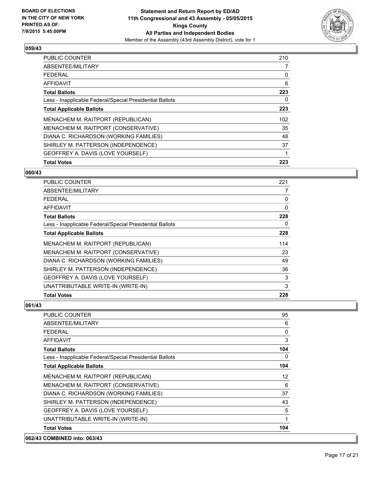

| PUBLIC COUNTER                                           | 210 |
|----------------------------------------------------------|-----|
| ABSENTEE/MILITARY                                        | 7   |
| <b>FEDERAL</b>                                           | 0   |
| AFFIDAVIT                                                | 6   |
| <b>Total Ballots</b>                                     | 223 |
| Less - Inapplicable Federal/Special Presidential Ballots | 0   |
| <b>Total Applicable Ballots</b>                          | 223 |
| MENACHEM M. RAITPORT (REPUBLICAN)                        | 102 |
| MENACHEM M. RAITPORT (CONSERVATIVE)                      | 35  |
| DIANA C. RICHARDSON (WORKING FAMILIES)                   | 48  |
| SHIRLEY M. PATTERSON (INDEPENDENCE)                      | 37  |
| GEOFFREY A. DAVIS (LOVE YOURSELF)                        | 1   |
| <b>Total Votes</b>                                       | 223 |

#### **060/43**

| PUBLIC COUNTER                                           | 221 |
|----------------------------------------------------------|-----|
| ABSENTEE/MILITARY                                        | 7   |
| <b>FEDERAL</b>                                           | 0   |
| <b>AFFIDAVIT</b>                                         | 0   |
| <b>Total Ballots</b>                                     | 228 |
| Less - Inapplicable Federal/Special Presidential Ballots | 0   |
| <b>Total Applicable Ballots</b>                          | 228 |
| MENACHEM M. RAITPORT (REPUBLICAN)                        | 114 |
| MENACHEM M. RAITPORT (CONSERVATIVE)                      | 23  |
| DIANA C. RICHARDSON (WORKING FAMILIES)                   | 49  |
| SHIRLEY M. PATTERSON (INDEPENDENCE)                      | 36  |
| GEOFFREY A. DAVIS (LOVE YOURSELF)                        | 3   |
| UNATTRIBUTABLE WRITE-IN (WRITE-IN)                       | 3   |
| <b>Total Votes</b>                                       | 228 |

| PUBLIC COUNTER                                           | 95           |
|----------------------------------------------------------|--------------|
| ABSENTEE/MILITARY                                        | 6            |
| <b>FEDERAL</b>                                           | $\mathbf{0}$ |
| AFFIDAVIT                                                | 3            |
| <b>Total Ballots</b>                                     | 104          |
| Less - Inapplicable Federal/Special Presidential Ballots | 0            |
| <b>Total Applicable Ballots</b>                          | 104          |
| MENACHEM M. RAITPORT (REPUBLICAN)                        | 12           |
| MENACHEM M. RAITPORT (CONSERVATIVE)                      | 6            |
| DIANA C. RICHARDSON (WORKING FAMILIES)                   | 37           |
| SHIRLEY M. PATTERSON (INDEPENDENCE)                      | 43           |
| GEOFFREY A. DAVIS (LOVE YOURSELF)                        | 5            |
| UNATTRIBUTABLE WRITE-IN (WRITE-IN)                       | 1            |
| <b>Total Votes</b>                                       | 104          |
| 062/43 COMBINED into: 063/43                             |              |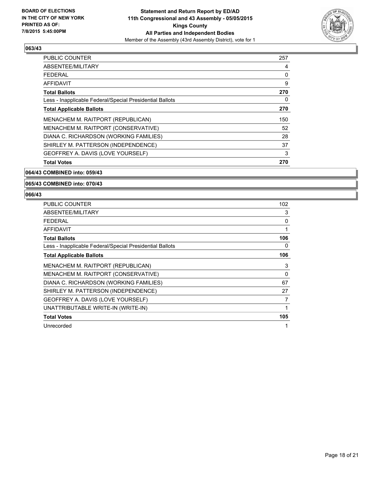

| PUBLIC COUNTER                                           | 257 |
|----------------------------------------------------------|-----|
| ABSENTEE/MILITARY                                        | 4   |
| <b>FEDERAL</b>                                           | 0   |
| AFFIDAVIT                                                | 9   |
| <b>Total Ballots</b>                                     | 270 |
| Less - Inapplicable Federal/Special Presidential Ballots | 0   |
| <b>Total Applicable Ballots</b>                          | 270 |
| MENACHEM M. RAITPORT (REPUBLICAN)                        | 150 |
| MENACHEM M. RAITPORT (CONSERVATIVE)                      | 52  |
| DIANA C. RICHARDSON (WORKING FAMILIES)                   | 28  |
| SHIRLEY M. PATTERSON (INDEPENDENCE)                      | 37  |
| GEOFFREY A. DAVIS (LOVE YOURSELF)                        | 3   |
| <b>Total Votes</b>                                       | 270 |

### **064/43 COMBINED into: 059/43**

# **065/43 COMBINED into: 070/43**

| <b>PUBLIC COUNTER</b>                                    | 102 |
|----------------------------------------------------------|-----|
| ABSENTEE/MILITARY                                        | 3   |
| <b>FEDERAL</b>                                           | 0   |
| <b>AFFIDAVIT</b>                                         | 1   |
| <b>Total Ballots</b>                                     | 106 |
| Less - Inapplicable Federal/Special Presidential Ballots | 0   |
| <b>Total Applicable Ballots</b>                          | 106 |
| MENACHEM M. RAITPORT (REPUBLICAN)                        | 3   |
| MENACHEM M. RAITPORT (CONSERVATIVE)                      | 0   |
| DIANA C. RICHARDSON (WORKING FAMILIES)                   | 67  |
| SHIRLEY M. PATTERSON (INDEPENDENCE)                      | 27  |
| GEOFFREY A. DAVIS (LOVE YOURSELF)                        | 7   |
| UNATTRIBUTABLE WRITE-IN (WRITE-IN)                       | 1   |
| <b>Total Votes</b>                                       | 105 |
| Unrecorded                                               |     |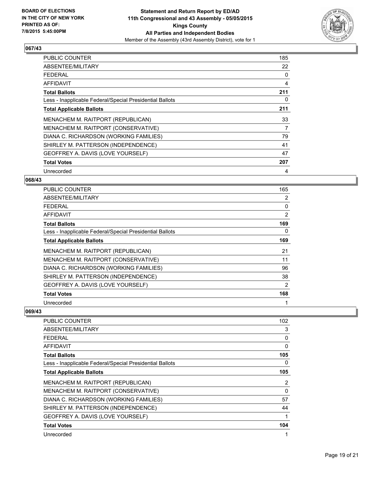

| <b>PUBLIC COUNTER</b>                                    | 185 |
|----------------------------------------------------------|-----|
| ABSENTEE/MILITARY                                        | 22  |
| <b>FEDERAL</b>                                           | 0   |
| AFFIDAVIT                                                | 4   |
| <b>Total Ballots</b>                                     | 211 |
| Less - Inapplicable Federal/Special Presidential Ballots | 0   |
| <b>Total Applicable Ballots</b>                          | 211 |
| MENACHEM M. RAITPORT (REPUBLICAN)                        | 33  |
| MENACHEM M. RAITPORT (CONSERVATIVE)                      | 7   |
| DIANA C. RICHARDSON (WORKING FAMILIES)                   | 79  |
| SHIRLEY M. PATTERSON (INDEPENDENCE)                      | 41  |
| GEOFFREY A. DAVIS (LOVE YOURSELF)                        | 47  |
| <b>Total Votes</b>                                       | 207 |
| Unrecorded                                               | 4   |

#### **068/43**

| <b>PUBLIC COUNTER</b>                                    | 165            |
|----------------------------------------------------------|----------------|
| ABSENTEE/MILITARY                                        | 2              |
| <b>FEDERAL</b>                                           | 0              |
| <b>AFFIDAVIT</b>                                         | 2              |
| <b>Total Ballots</b>                                     | 169            |
| Less - Inapplicable Federal/Special Presidential Ballots | 0              |
| <b>Total Applicable Ballots</b>                          | 169            |
| MENACHEM M. RAITPORT (REPUBLICAN)                        | 21             |
| MENACHEM M. RAITPORT (CONSERVATIVE)                      | 11             |
| DIANA C. RICHARDSON (WORKING FAMILIES)                   | 96             |
| SHIRLEY M. PATTERSON (INDEPENDENCE)                      | 38             |
| GEOFFREY A. DAVIS (LOVE YOURSELF)                        | $\overline{2}$ |
| <b>Total Votes</b>                                       | 168            |
| Unrecorded                                               | 1              |

| <b>PUBLIC COUNTER</b>                                    | 102          |
|----------------------------------------------------------|--------------|
| ABSENTEE/MILITARY                                        | 3            |
| <b>FEDERAL</b>                                           | 0            |
| <b>AFFIDAVIT</b>                                         | 0            |
| <b>Total Ballots</b>                                     | 105          |
| Less - Inapplicable Federal/Special Presidential Ballots | 0            |
| <b>Total Applicable Ballots</b>                          | 105          |
| MENACHEM M. RAITPORT (REPUBLICAN)                        | 2            |
| MENACHEM M. RAITPORT (CONSERVATIVE)                      | $\mathbf{0}$ |
| DIANA C. RICHARDSON (WORKING FAMILIES)                   | 57           |
| SHIRLEY M. PATTERSON (INDEPENDENCE)                      | 44           |
| GEOFFREY A. DAVIS (LOVE YOURSELF)                        | 1            |
| <b>Total Votes</b>                                       | 104          |
| Unrecorded                                               |              |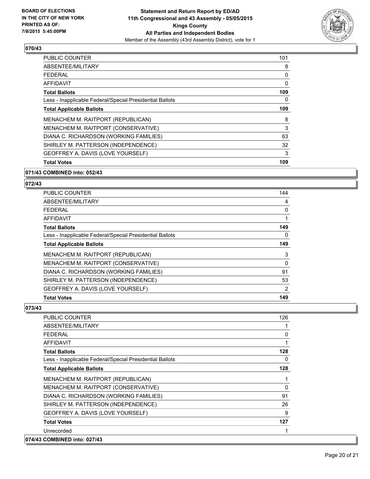

| <b>Total Votes</b>                                       | 109 |
|----------------------------------------------------------|-----|
| GEOFFREY A. DAVIS (LOVE YOURSELF)                        | 3   |
| SHIRLEY M. PATTERSON (INDEPENDENCE)                      | 32  |
| DIANA C. RICHARDSON (WORKING FAMILIES)                   | 63  |
| MENACHEM M. RAITPORT (CONSERVATIVE)                      | 3   |
| MENACHEM M. RAITPORT (REPUBLICAN)                        | 8   |
| <b>Total Applicable Ballots</b>                          | 109 |
| Less - Inapplicable Federal/Special Presidential Ballots | 0   |
| <b>Total Ballots</b>                                     | 109 |
| AFFIDAVIT                                                | 0   |
| <b>FEDERAL</b>                                           | 0   |
| ABSENTEE/MILITARY                                        | 8   |
| <b>PUBLIC COUNTER</b>                                    | 101 |

## **071/43 COMBINED into: 052/43**

## **072/43**

| PUBLIC COUNTER                                           | 144            |
|----------------------------------------------------------|----------------|
| ABSENTEE/MILITARY                                        | 4              |
| <b>FEDERAL</b>                                           | 0              |
| AFFIDAVIT                                                |                |
| <b>Total Ballots</b>                                     | 149            |
| Less - Inapplicable Federal/Special Presidential Ballots | 0              |
| <b>Total Applicable Ballots</b>                          | 149            |
| MENACHEM M. RAITPORT (REPUBLICAN)                        | 3              |
| MENACHEM M. RAITPORT (CONSERVATIVE)                      | 0              |
| DIANA C. RICHARDSON (WORKING FAMILIES)                   | 91             |
| SHIRLEY M. PATTERSON (INDEPENDENCE)                      | 53             |
| GEOFFREY A. DAVIS (LOVE YOURSELF)                        | $\overline{2}$ |
| <b>Total Votes</b>                                       | 149            |

| PUBLIC COUNTER                                           | 126 |
|----------------------------------------------------------|-----|
| ABSENTEE/MILITARY                                        |     |
| <b>FEDERAL</b>                                           | 0   |
| <b>AFFIDAVIT</b>                                         |     |
| <b>Total Ballots</b>                                     | 128 |
| Less - Inapplicable Federal/Special Presidential Ballots | 0   |
| <b>Total Applicable Ballots</b>                          | 128 |
| MENACHEM M. RAITPORT (REPUBLICAN)                        |     |
| MENACHEM M. RAITPORT (CONSERVATIVE)                      | 0   |
| DIANA C. RICHARDSON (WORKING FAMILIES)                   | 91  |
| SHIRLEY M. PATTERSON (INDEPENDENCE)                      | 26  |
| GEOFFREY A. DAVIS (LOVE YOURSELF)                        | 9   |
| <b>Total Votes</b>                                       | 127 |
| Unrecorded                                               |     |
| 074/43 COMBINED into: 027/43                             |     |